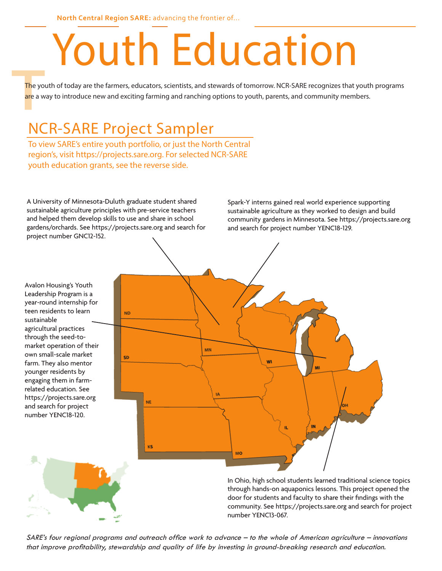**North Central Region SARE:** advancing the frontier of...

# Youth Education

The your The youth of today are the farmers, educators, scientists, and stewards of tomorrow. NCR-SARE recognizes that youth programs are a way to introduce new and exciting farming and ranching options to youth, parents, and community members.

## NCR-SARE Project Sampler

To view SARE's entire youth portfolio, or just the North Central region's, visit https://projects.sare.org. For selected NCR-SARE youth education grants, see the reverse side.

A University of Minnesota-Duluth graduate student shared sustainable agriculture principles with pre-service teachers and helped them develop skills to use and share in school gardens/orchards. See https://projects.sare.org and search for project number GNC12-152.

Spark-Y interns gained real world experience supporting sustainable agriculture as they worked to design and build community gardens in Minnesota. See https://projects.sare.org and search for project number YENC18-129.





In Ohio, high school students learned traditional science topics through hands-on aquaponics lessons. This project opened the door for students and faculty to share their findings with the community. See https://projects.sare.org and search for project number YENC13-067.